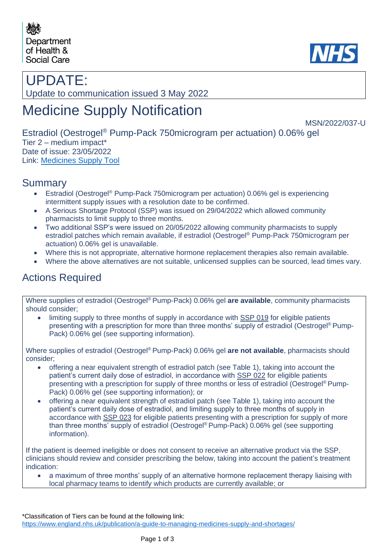

# UPDATE:

Update to communication issued 3 May 2022

# Medicine Supply Notification

#### MSN/2022/037-U

Estradiol (Oestrogel® Pump-Pack 750microgram per actuation) 0.06% gel Tier 2 – medium impact\* Date of issue: 23/05/2022 Link: [Medicines Supply Tool](https://www.sps.nhs.uk/home/planning/medicines-supply-tool/)

## Summary

- Estradiol (Oestrogel<sup>®</sup> Pump-Pack 750microgram per actuation) 0.06% gel is experiencing intermittent supply issues with a resolution date to be confirmed.
- A Serious Shortage Protocol (SSP) was issued on 29/04/2022 which allowed community pharmacists to limit supply to three months.
- Two additional SSP's were issued on 20/05/2022 allowing community pharmacists to supply estradiol patches which remain available, if estradiol (Oestrogel® Pump-Pack 750microgram per actuation) 0.06% gel is unavailable.
- Where this is not appropriate, alternative hormone replacement therapies also remain available.
- Where the above alternatives are not suitable, unlicensed supplies can be sourced, lead times vary.

# Actions Required

Where supplies of estradiol (Oestrogel® Pump-Pack) 0.06% gel **are available**, community pharmacists should consider;

• limiting supply to three months of supply in accordance with SSP 019 for eligible patients presenting with a prescription for more than three months' supply of estradiol (Oestrogel® Pump-Pack) 0.06% gel (see supporting information).

Where supplies of estradiol (Oestrogel® Pump-Pack) 0.06% gel **are not available**, pharmacists should consider;

- offering a near equivalent strength of estradiol patch (see Table 1), taking into account the patient's current daily dose of estradiol, in accordance with SSP 022 for eligible patients presenting with a prescription for supply of three months or less of estradiol (Oestrogel® Pump-Pack) 0.06% gel (see supporting information); or
- offering a near equivalent strength of estradiol patch (see Table 1), taking into account the patient's current daily dose of estradiol, and limiting supply to three months of supply in accordance with SSP 023 for eligible patients presenting with a prescription for supply of more than three months' supply of estradiol (Oestrogel® Pump-Pack) 0.06% gel (see supporting information).

If the patient is deemed ineligible or does not consent to receive an alternative product via the SSP, clinicians should review and consider prescribing the below, taking into account the patient's treatment indication:

• a maximum of three months' supply of an alternative hormone replacement therapy liaising with local pharmacy teams to identify which products are currently available; or

\*Classification of Tiers can be found at the following link: <https://www.england.nhs.uk/publication/a-guide-to-managing-medicines-supply-and-shortages/>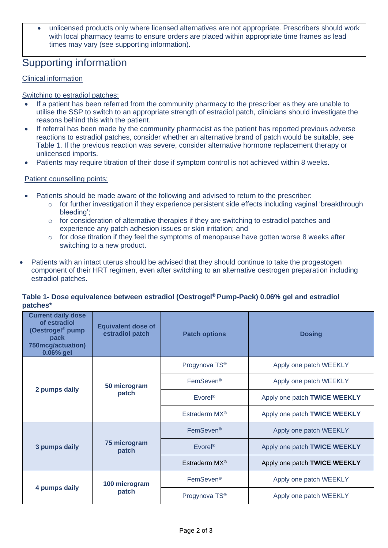• unlicensed products only where licensed alternatives are not appropriate. Prescribers should work with local pharmacy teams to ensure orders are placed within appropriate time frames as lead times may vary (see supporting information).

## Supporting information

#### Clinical information

#### Switching to estradiol patches:

- If a patient has been referred from the community pharmacy to the prescriber as they are unable to utilise the SSP to switch to an appropriate strength of estradiol patch, clinicians should investigate the reasons behind this with the patient.
- If referral has been made by the community pharmacist as the patient has reported previous adverse reactions to estradiol patches, consider whether an alternative brand of patch would be suitable, see Table 1. If the previous reaction was severe, consider alternative hormone replacement therapy or unlicensed imports.
- Patients may require titration of their dose if symptom control is not achieved within 8 weeks.

#### Patient counselling points:

- Patients should be made aware of the following and advised to return to the prescriber:
	- o for further investigation if they experience persistent side effects including vaginal 'breakthrough bleeding';
	- $\circ$  for consideration of alternative therapies if they are switching to estradiol patches and experience any patch adhesion issues or skin irritation; and
	- $\circ$  for dose titration if they feel the symptoms of menopause have gotten worse 8 weeks after switching to a new product.
- Patients with an intact uterus should be advised that they should continue to take the progestogen component of their HRT regimen, even after switching to an alternative oestrogen preparation including estradiol patches.

#### **Table 1- Dose equivalence between estradiol (Oestrogel® Pump-Pack) 0.06% gel and estradiol patches\***

| <b>Current daily dose</b><br>of estradiol<br>(Oestrogel <sup>®</sup> pump<br>pack<br>750mcg/actuation)<br>0.06% gel | <b>Equivalent dose of</b><br>estradiol patch | <b>Patch options</b>      | <b>Dosing</b>                |
|---------------------------------------------------------------------------------------------------------------------|----------------------------------------------|---------------------------|------------------------------|
| 2 pumps daily                                                                                                       | 50 microgram<br>patch                        | Progynova TS®             | Apply one patch WEEKLY       |
|                                                                                                                     |                                              | FemSeven <sup>®</sup>     | Apply one patch WEEKLY       |
|                                                                                                                     |                                              | Evorel <sup>®</sup>       | Apply one patch TWICE WEEKLY |
|                                                                                                                     |                                              | Estraderm MX <sup>®</sup> | Apply one patch TWICE WEEKLY |
| 3 pumps daily                                                                                                       | 75 microgram<br>patch                        | FemSeven <sup>®</sup>     | Apply one patch WEEKLY       |
|                                                                                                                     |                                              | Evorel <sup>®</sup>       | Apply one patch TWICE WEEKLY |
|                                                                                                                     |                                              | Estraderm MX <sup>®</sup> | Apply one patch TWICE WEEKLY |
| 4 pumps daily                                                                                                       | 100 microgram<br>patch                       | FemSeven <sup>®</sup>     | Apply one patch WEEKLY       |
|                                                                                                                     |                                              | Progynova TS <sup>®</sup> | Apply one patch WEEKLY       |